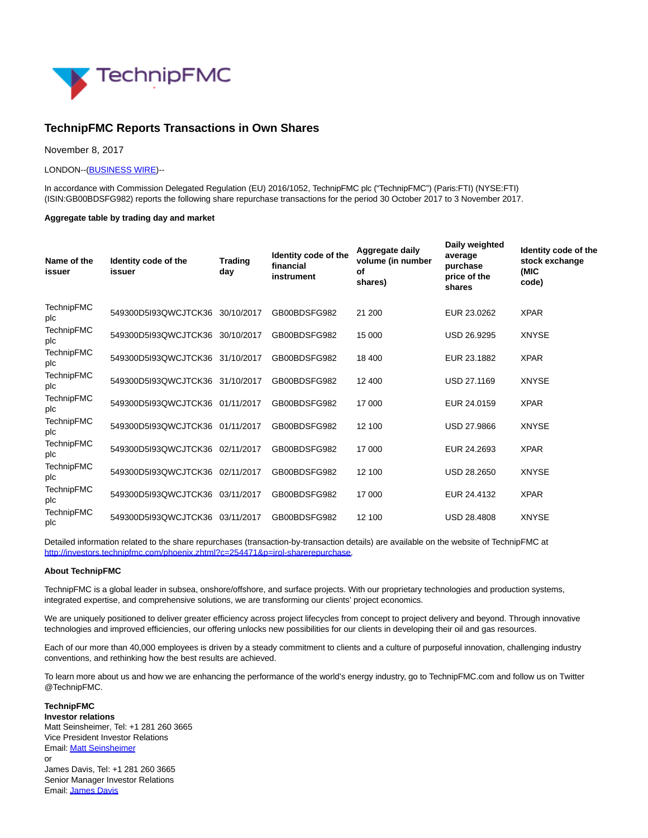

# **TechnipFMC Reports Transactions in Own Shares**

November 8, 2017

#### LONDON--[\(BUSINESS WIRE\)-](http://www.businesswire.com/)-

In accordance with Commission Delegated Regulation (EU) 2016/1052, TechnipFMC plc ("TechnipFMC") (Paris:FTI) (NYSE:FTI) (ISIN:GB00BDSFG982) reports the following share repurchase transactions for the period 30 October 2017 to 3 November 2017.

#### **Aggregate table by trading day and market**

| Name of the<br>issuer    | Identity code of the<br>issuer  | <b>Trading</b><br>day | Identity code of the<br>financial<br>instrument | Aggregate daily<br>volume (in number<br>οf<br>shares) | Daily weighted<br>average<br>purchase<br>price of the<br>shares | Identity code of the<br>stock exchange<br>(MIC<br>code) |
|--------------------------|---------------------------------|-----------------------|-------------------------------------------------|-------------------------------------------------------|-----------------------------------------------------------------|---------------------------------------------------------|
| <b>TechnipFMC</b><br>plc | 549300D5I93QWCJTCK36 30/10/2017 |                       | GB00BDSFG982                                    | 21 200                                                | EUR 23.0262                                                     | <b>XPAR</b>                                             |
| <b>TechnipFMC</b><br>plc | 549300D5I93QWCJTCK36 30/10/2017 |                       | GB00BDSFG982                                    | 15 000                                                | <b>USD 26.9295</b>                                              | <b>XNYSE</b>                                            |
| <b>TechnipFMC</b><br>plc | 549300D5l93QWCJTCK36 31/10/2017 |                       | GB00BDSFG982                                    | 18 400                                                | EUR 23.1882                                                     | <b>XPAR</b>                                             |
| <b>TechnipFMC</b><br>plc | 549300D5I93QWCJTCK36 31/10/2017 |                       | GB00BDSFG982                                    | 12 400                                                | <b>USD 27.1169</b>                                              | <b>XNYSE</b>                                            |
| <b>TechnipFMC</b><br>plc | 549300D5I93QWCJTCK36 01/11/2017 |                       | GB00BDSFG982                                    | 17 000                                                | EUR 24.0159                                                     | <b>XPAR</b>                                             |
| <b>TechnipFMC</b><br>plc | 549300D5l93QWCJTCK36 01/11/2017 |                       | GB00BDSFG982                                    | 12 100                                                | <b>USD 27.9866</b>                                              | <b>XNYSE</b>                                            |
| <b>TechnipFMC</b><br>plc | 549300D5I93QWCJTCK36 02/11/2017 |                       | GB00BDSFG982                                    | 17 000                                                | EUR 24.2693                                                     | <b>XPAR</b>                                             |
| <b>TechnipFMC</b><br>plc | 549300D5I93QWCJTCK36            | 02/11/2017            | GB00BDSFG982                                    | 12 100                                                | <b>USD 28.2650</b>                                              | <b>XNYSE</b>                                            |
| <b>TechnipFMC</b><br>plc | 549300D5I93QWCJTCK36            | 03/11/2017            | GB00BDSFG982                                    | 17 000                                                | EUR 24.4132                                                     | <b>XPAR</b>                                             |
| <b>TechnipFMC</b><br>plc | 549300D5I93QWCJTCK36            | 03/11/2017            | GB00BDSFG982                                    | 12 100                                                | <b>USD 28,4808</b>                                              | <b>XNYSE</b>                                            |

Detailed information related to the share repurchases (transaction-by-transaction details) are available on the website of TechnipFMC at [http://investors.technipfmc.com/phoenix.zhtml?c=254471&p=irol-sharerepurchase.](http://cts.businesswire.com/ct/CT?id=smartlink&url=http%3A%2F%2Finvestors.technipfmc.com%2Fphoenix.zhtml%3Fc%3D254471%26p%3Dirol-sharerepurchase&esheet=51712489&newsitemid=20171107006323&lan=en-US&anchor=http%3A%2F%2Finvestors.technipfmc.com%2Fphoenix.zhtml%3Fc%3D254471%26p%3Dirol-sharerepurchase&index=1&md5=08bfcc2ab8c559aad7cad90ce59c3385)

## **About TechnipFMC**

TechnipFMC is a global leader in subsea, onshore/offshore, and surface projects. With our proprietary technologies and production systems, integrated expertise, and comprehensive solutions, we are transforming our clients' project economics.

We are uniquely positioned to deliver greater efficiency across project lifecycles from concept to project delivery and beyond. Through innovative technologies and improved efficiencies, our offering unlocks new possibilities for our clients in developing their oil and gas resources.

Each of our more than 40,000 employees is driven by a steady commitment to clients and a culture of purposeful innovation, challenging industry conventions, and rethinking how the best results are achieved.

To learn more about us and how we are enhancing the performance of the world's energy industry, go to TechnipFMC.com and follow us on Twitter @TechnipFMC.

**TechnipFMC Investor relations** Matt Seinsheimer, Tel: +1 281 260 3665 Vice President Investor Relations Email[: Matt Seinsheimer](mailto:InvestorRelations@TechnipFMC.com) or James Davis, Tel: +1 281 260 3665 Senior Manager Investor Relations Email[: James Davis](mailto:InvestorRelations@TechnipFMC.com)